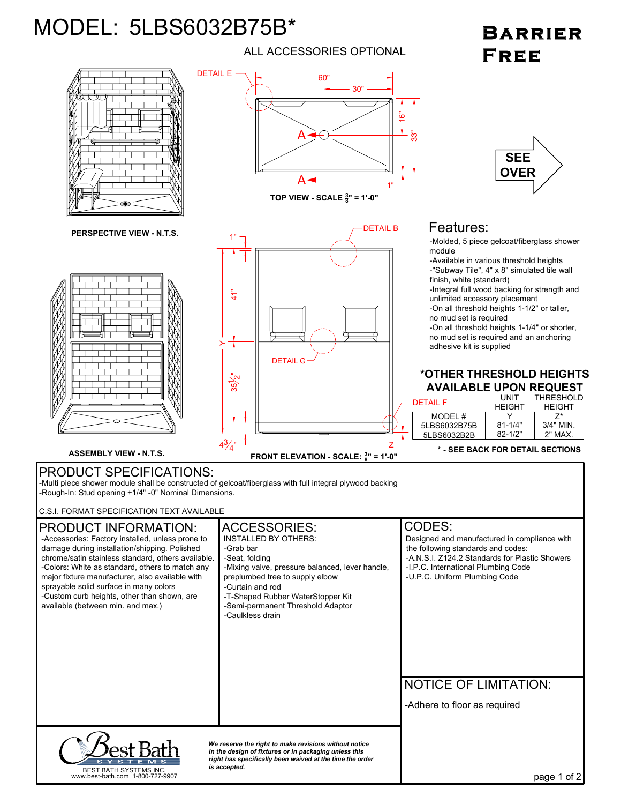## MODEL: 5LBS6032B75B\*

ALL ACCESSORIES OPTIONAL

## **BARRIER** FREE